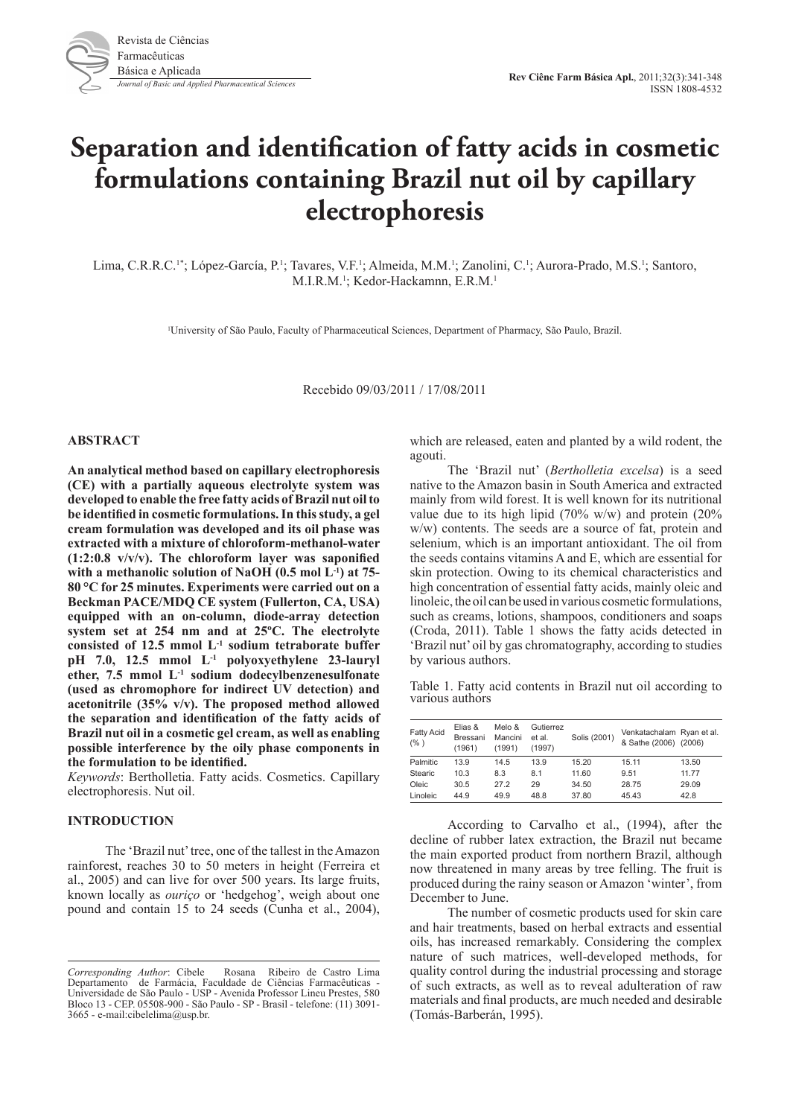# **Separation and identification of fatty acids in cosmetic formulations containing Brazil nut oil by capillary electrophoresis**

Lima, C.R.R.C.<sup>1\*</sup>; López-García, P.<sup>1</sup>; Tavares, V.F.<sup>1</sup>; Almeida, M.M.<sup>1</sup>; Zanolini, C.<sup>1</sup>; Aurora-Prado, M.S.<sup>1</sup>; Santoro, M.I.R.M.<sup>1</sup>; Kedor-Hackamnn, E.R.M.<sup>1</sup>

1 University of São Paulo, Faculty of Pharmaceutical Sciences, Department of Pharmacy, São Paulo, Brazil.

Recebido 09/03/2011 / 17/08/2011

#### **ABSTRACT**

**An analytical method based on capillary electrophoresis (CE) with a partially aqueous electrolyte system was developed to enable the free fatty acids of Brazil nut oil to be identified in cosmetic formulations. In this study, a gel cream formulation was developed and its oil phase was extracted with a mixture of chloroform-methanol-water (1:2:0.8 v/v/v). The chloroform layer was saponified with a methanolic solution of NaOH (0.5 mol L-1) at 75- 80 °C for 25 minutes. Experiments were carried out on a Beckman PACE/MDQ CE system (Fullerton, CA, USA) equipped with an on-column, diode-array detection system set at 254 nm and at 25ºC. The electrolyte consisted of 12.5 mmol L-1 sodium tetraborate buffer pH 7.0, 12.5 mmol L-1 polyoxyethylene 23-lauryl ether, 7.5 mmol L-1 sodium dodecylbenzenesulfonate (used as chromophore for indirect UV detection) and acetonitrile (35% v/v). The proposed method allowed the separation and identification of the fatty acids of Brazil nut oil in a cosmetic gel cream, as well as enabling possible interference by the oily phase components in the formulation to be identified.** 

*Keywords*: Bertholletia. Fatty acids. Cosmetics. Capillary electrophoresis. Nut oil.

## **INTRODUCTION**

The 'Brazil nut' tree, one of the tallest in the Amazon rainforest, reaches 30 to 50 meters in height (Ferreira et al., 2005) and can live for over 500 years. Its large fruits, known locally as *ouriço* or 'hedgehog', weigh about one pound and contain 15 to 24 seeds (Cunha et al., 2004),

which are released, eaten and planted by a wild rodent, the agouti.

The 'Brazil nut' (*Bertholletia excelsa*) is a seed native to the Amazon basin in South America and extracted mainly from wild forest. It is well known for its nutritional value due to its high lipid (70% w/w) and protein (20% w/w) contents. The seeds are a source of fat, protein and selenium, which is an important antioxidant. The oil from the seeds contains vitamins A and E, which are essential for skin protection. Owing to its chemical characteristics and high concentration of essential fatty acids, mainly oleic and linoleic, the oil can be used in various cosmetic formulations, such as creams, lotions, shampoos, conditioners and soaps (Croda, 2011). Table 1 shows the fatty acids detected in 'Brazil nut' oil by gas chromatography, according to studies by various authors.

Table 1. Fatty acid contents in Brazil nut oil according to various authors

| <b>Fatty Acid</b><br>$(\% )$ | Elias &<br>Bressani<br>(1961) | Melo &<br>Mancini<br>(1991) | Gutierrez<br>et al.<br>(1997) | Solis (2001) | Venkatachalam Ryan et al.<br>& Sathe (2006) (2006) |       |
|------------------------------|-------------------------------|-----------------------------|-------------------------------|--------------|----------------------------------------------------|-------|
| Palmitic                     | 13.9                          | 14.5                        | 13.9                          | 15.20        | 15.11                                              | 13.50 |
| Stearic                      | 10.3                          | 8.3                         | 8.1                           | 11.60        | 9.51                                               | 11.77 |
| Oleic                        | 30.5                          | 27.2                        | 29                            | 34.50        | 28.75                                              | 29.09 |
| Linoleic                     | 44.9                          | 49.9                        | 48.8                          | 37.80        | 45.43                                              | 42.8  |

According to Carvalho et al., (1994), after the decline of rubber latex extraction, the Brazil nut became the main exported product from northern Brazil, although now threatened in many areas by tree felling. The fruit is produced during the rainy season or Amazon 'winter', from December to June.

The number of cosmetic products used for skin care and hair treatments, based on herbal extracts and essential oils, has increased remarkably. Considering the complex nature of such matrices, well-developed methods, for quality control during the industrial processing and storage of such extracts, as well as to reveal adulteration of raw materials and final products, are much needed and desirable (Tomás-Barberán, 1995).

*Corresponding Author*: Cibele Rosana Ribeiro de Castro Lima Departamento de Farmácia, Faculdade de Ciências Farmacêuticas - Universidade de São Paulo - USP - Avenida Professor Lineu Prestes, 580 Bloco 13 - CEP. 05508-900 - São Paulo - SP - Brasil - telefone: (11) 3091- 3665 - e-mail:cibelelima@usp.br.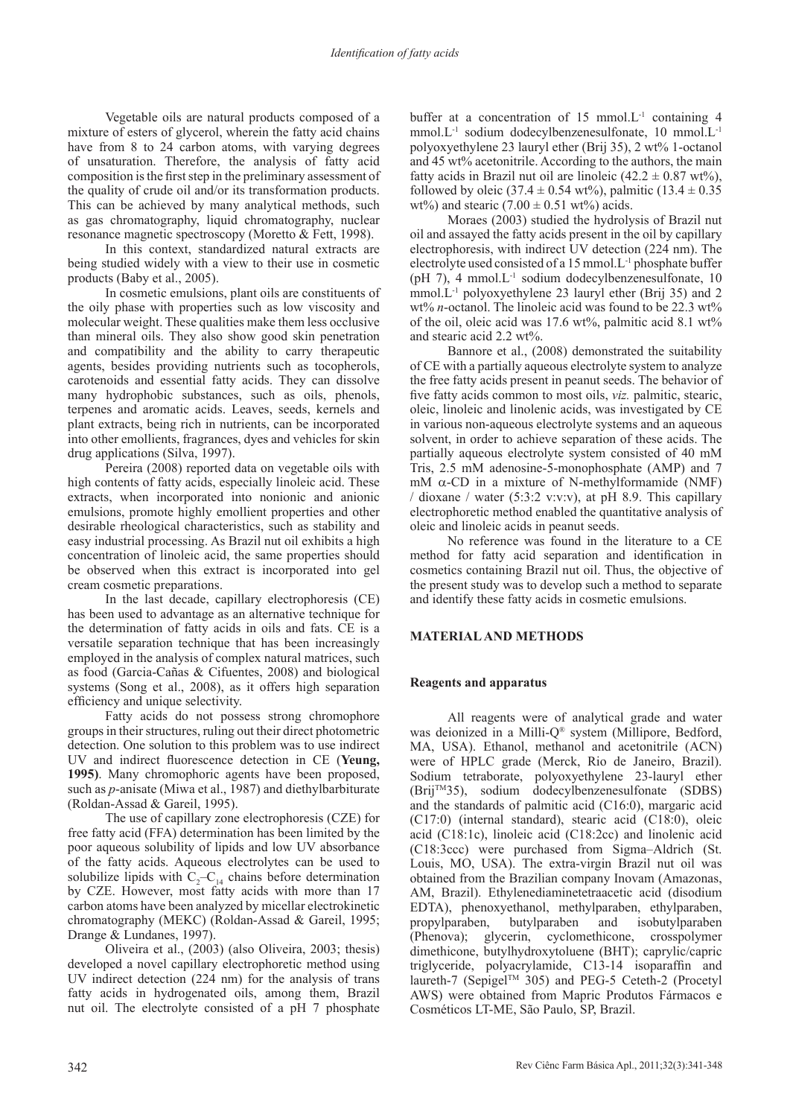Vegetable oils are natural products composed of a mixture of esters of glycerol, wherein the fatty acid chains have from 8 to 24 carbon atoms, with varying degrees of unsaturation. Therefore, the analysis of fatty acid composition is the first step in the preliminary assessment of the quality of crude oil and/or its transformation products. This can be achieved by many analytical methods, such as gas chromatography, liquid chromatography, nuclear resonance magnetic spectroscopy (Moretto & Fett, 1998).

In this context, standardized natural extracts are being studied widely with a view to their use in cosmetic products (Baby et al., 2005).

In cosmetic emulsions, plant oils are constituents of the oily phase with properties such as low viscosity and molecular weight. These qualities make them less occlusive than mineral oils. They also show good skin penetration and compatibility and the ability to carry therapeutic agents, besides providing nutrients such as tocopherols, carotenoids and essential fatty acids. They can dissolve many hydrophobic substances, such as oils, phenols, terpenes and aromatic acids. Leaves, seeds, kernels and plant extracts, being rich in nutrients, can be incorporated into other emollients, fragrances, dyes and vehicles for skin drug applications (Silva, 1997).

Pereira (2008) reported data on vegetable oils with high contents of fatty acids, especially linoleic acid. These extracts, when incorporated into nonionic and anionic emulsions, promote highly emollient properties and other desirable rheological characteristics, such as stability and easy industrial processing. As Brazil nut oil exhibits a high concentration of linoleic acid, the same properties should be observed when this extract is incorporated into gel cream cosmetic preparations.

In the last decade, capillary electrophoresis (CE) has been used to advantage as an alternative technique for the determination of fatty acids in oils and fats. CE is a versatile separation technique that has been increasingly employed in the analysis of complex natural matrices, such as food (Garcia-Cañas & Cifuentes, 2008) and biological systems (Song et al., 2008), as it offers high separation efficiency and unique selectivity.

Fatty acids do not possess strong chromophore groups in their structures, ruling out their direct photometric detection. One solution to this problem was to use indirect UV and indirect fluorescence detection in CE (**Yeung, 1995)**. Many chromophoric agents have been proposed, such as *p*-anisate (Miwa et al., 1987) and diethylbarbiturate (Roldan-Assad & Gareil, 1995).

The use of capillary zone electrophoresis (CZE) for free fatty acid (FFA) determination has been limited by the poor aqueous solubility of lipids and low UV absorbance of the fatty acids. Aqueous electrolytes can be used to solubilize lipids with  $C_2 - C_{14}$  chains before determination by CZE. However, most fatty acids with more than 17 carbon atoms have been analyzed by micellar electrokinetic chromatography (MEKC) (Roldan-Assad & Gareil, 1995; Drange & Lundanes, 1997).

Oliveira et al., (2003) (also Oliveira, 2003; thesis) developed a novel capillary electrophoretic method using UV indirect detection (224 nm) for the analysis of trans fatty acids in hydrogenated oils, among them, Brazil nut oil. The electrolyte consisted of a pH 7 phosphate

buffer at a concentration of 15 mmol.L<sup>-1</sup> containing 4 mmol.L<sup>-1</sup> sodium dodecylbenzenesulfonate, 10 mmol.L<sup>-1</sup> polyoxyethylene 23 lauryl ether (Brij 35), 2 wt% 1-octanol and 45 wt% acetonitrile. According to the authors, the main fatty acids in Brazil nut oil are linoleic  $(42.2 \pm 0.87 \text{ wt\%})$ , followed by oleic (37.4  $\pm$  0.54 wt%), palmitic (13.4  $\pm$  0.35 wt%) and stearic  $(7.00 \pm 0.51 \text{ wt})$  acids.

Moraes (2003) studied the hydrolysis of Brazil nut oil and assayed the fatty acids present in the oil by capillary electrophoresis, with indirect UV detection (224 nm). The electrolyte used consisted of a  $15$  mmol. L<sup>-1</sup> phosphate buffer (pH 7), 4 mmol. $L^{-1}$  sodium dodecylbenzenesulfonate, 10 mmol.L-1 polyoxyethylene 23 lauryl ether (Brij 35) and 2 wt% *n*-octanol. The linoleic acid was found to be 22.3 wt% of the oil, oleic acid was  $17.6 \text{ wt\%}$ , palmitic acid  $8.1 \text{ wt\%}$ and stearic acid 2.2 wt%.

Bannore et al., (2008) demonstrated the suitability of CE with a partially aqueous electrolyte system to analyze the free fatty acids present in peanut seeds. The behavior of five fatty acids common to most oils, *viz.* palmitic, stearic, oleic, linoleic and linolenic acids, was investigated by CE in various non-aqueous electrolyte systems and an aqueous solvent, in order to achieve separation of these acids. The partially aqueous electrolyte system consisted of 40 mM Tris, 2.5 mM adenosine-5-monophosphate (AMP) and 7 mM  $\alpha$ -CD in a mixture of N-methylformamide (NMF) / dioxane / water (5:3:2 v:v:v), at pH 8.9. This capillary electrophoretic method enabled the quantitative analysis of oleic and linoleic acids in peanut seeds.

No reference was found in the literature to a CE method for fatty acid separation and identification in cosmetics containing Brazil nut oil. Thus, the objective of the present study was to develop such a method to separate and identify these fatty acids in cosmetic emulsions.

# **MATERIAL AND METHODS**

### **Reagents and apparatus**

All reagents were of analytical grade and water was deionized in a Milli-Q® system (Millipore, Bedford, MA, USA). Ethanol, methanol and acetonitrile (ACN) were of HPLC grade (Merck, Rio de Janeiro, Brazil). Sodium tetraborate, polyoxyethylene 23-lauryl ether (BrijTM35), sodium dodecylbenzenesulfonate (SDBS) and the standards of palmitic acid (C16:0), margaric acid (C17:0) (internal standard), stearic acid (C18:0), oleic acid (C18:1c), linoleic acid (C18:2cc) and linolenic acid (C18:3ccc) were purchased from Sigma–Aldrich (St. Louis, MO, USA). The extra-virgin Brazil nut oil was obtained from the Brazilian company Inovam (Amazonas, AM, Brazil). Ethylenediaminetetraacetic acid (disodium EDTA), phenoxyethanol, methylparaben, ethylparaben, propylparaben, butylparaben and isobutylparaben (Phenova); glycerin, cyclomethicone, crosspolymer dimethicone, butylhydroxytoluene (BHT); caprylic/capric triglyceride, polyacrylamide, C13-14 isoparaffin and laureth-7 (Sepigel™ 305) and PEG-5 Ceteth-2 (Procetyl AWS) were obtained from Mapric Produtos Fármacos e Cosméticos LT-ME, São Paulo, SP, Brazil.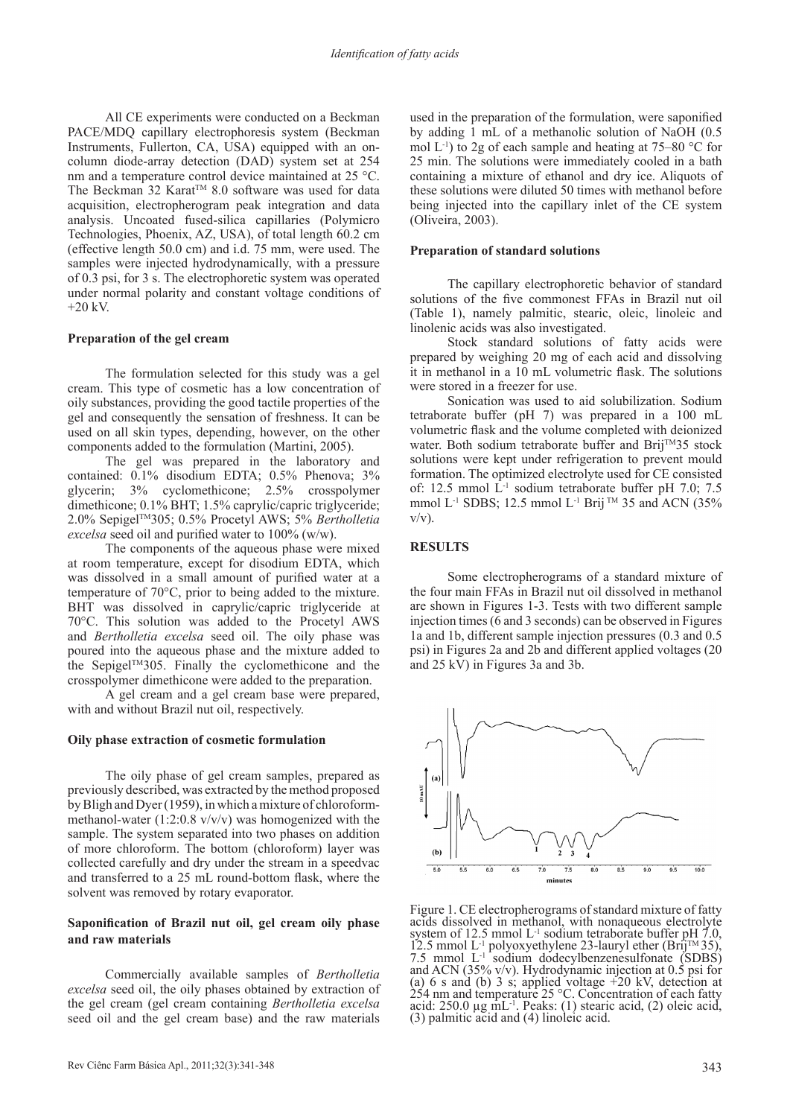All CE experiments were conducted on a Beckman PACE/MDQ capillary electrophoresis system (Beckman Instruments, Fullerton, CA, USA) equipped with an oncolumn diode-array detection (DAD) system set at 254 nm and a temperature control device maintained at 25 °C. The Beckman 32 Karat<sup>™</sup> 8.0 software was used for data acquisition, electropherogram peak integration and data analysis. Uncoated fused-silica capillaries (Polymicro Technologies, Phoenix, AZ, USA), of total length 60.2 cm (effective length 50.0 cm) and i.d. 75 mm, were used. The samples were injected hydrodynamically, with a pressure of 0.3 psi, for 3 s. The electrophoretic system was operated under normal polarity and constant voltage conditions of  $+20$  kV.

#### **Preparation of the gel cream**

The formulation selected for this study was a gel cream. This type of cosmetic has a low concentration of oily substances, providing the good tactile properties of the gel and consequently the sensation of freshness. It can be used on all skin types, depending, however, on the other components added to the formulation (Martini, 2005).

The gel was prepared in the laboratory and contained: 0.1% disodium EDTA; 0.5% Phenova; 3% glycerin; 3% cyclomethicone; 2.5% crosspolymer dimethicone; 0.1% BHT; 1.5% caprylic/capric triglyceride; 2.0% SepigelTM305; 0.5% Procetyl AWS; 5% *Bertholletia excelsa* seed oil and purified water to 100% (w/w).

The components of the aqueous phase were mixed at room temperature, except for disodium EDTA, which was dissolved in a small amount of purified water at a temperature of 70°C, prior to being added to the mixture. BHT was dissolved in caprylic/capric triglyceride at 70°C. This solution was added to the Procetyl AWS and *Bertholletia excelsa* seed oil. The oily phase was poured into the aqueous phase and the mixture added to the SepigelTM305. Finally the cyclomethicone and the crosspolymer dimethicone were added to the preparation.

A gel cream and a gel cream base were prepared, with and without Brazil nut oil, respectively.

#### **Oily phase extraction of cosmetic formulation**

The oily phase of gel cream samples, prepared as previously described, was extracted by the method proposed by Bligh and Dyer (1959), in which a mixture of chloroformmethanol-water  $(1:2:0.8 \text{ v/v/v})$  was homogenized with the sample. The system separated into two phases on addition of more chloroform. The bottom (chloroform) layer was collected carefully and dry under the stream in a speedvac and transferred to a 25 mL round-bottom flask, where the solvent was removed by rotary evaporator.

## **Saponification of Brazil nut oil, gel cream oily phase and raw materials**

Commercially available samples of *Bertholletia excelsa* seed oil, the oily phases obtained by extraction of the gel cream (gel cream containing *Bertholletia excelsa* seed oil and the gel cream base) and the raw materials

used in the preparation of the formulation, were saponified by adding 1 mL of a methanolic solution of NaOH (0.5 mol  $L^{-1}$ ) to 2g of each sample and heating at 75–80 °C for 25 min. The solutions were immediately cooled in a bath containing a mixture of ethanol and dry ice. Aliquots of these solutions were diluted 50 times with methanol before being injected into the capillary inlet of the CE system (Oliveira, 2003).

#### **Preparation of standard solutions**

The capillary electrophoretic behavior of standard solutions of the five commonest FFAs in Brazil nut oil (Table 1), namely palmitic, stearic, oleic, linoleic and linolenic acids was also investigated.

Stock standard solutions of fatty acids were prepared by weighing 20 mg of each acid and dissolving it in methanol in a 10 mL volumetric flask. The solutions were stored in a freezer for use.

Sonication was used to aid solubilization. Sodium tetraborate buffer (pH 7) was prepared in a 100 mL volumetric flask and the volume completed with deionized water. Both sodium tetraborate buffer and Brij<sup>TM</sup>35 stock solutions were kept under refrigeration to prevent mould formation. The optimized electrolyte used for CE consisted of: 12.5 mmol L-1 sodium tetraborate buffer pH 7.0; 7.5 mmol L<sup>-1</sup> SDBS; 12.5 mmol L<sup>-1</sup> Brij<sup>TM</sup> 35 and ACN (35%)  $v/v$ ).

#### **RESULTS**

Some electropherograms of a standard mixture of the four main FFAs in Brazil nut oil dissolved in methanol are shown in Figures 1-3. Tests with two different sample injection times (6 and 3 seconds) can be observed in Figures 1a and 1b, different sample injection pressures (0.3 and 0.5 psi) in Figures 2a and 2b and different applied voltages (20 and 25 kV) in Figures 3a and 3b.



Figure 1. CE electropherograms of standard mixture of fatty acids dissolved in methanol, with nonaqueous electrolyte system of 12.5 mmol L<sup>-1</sup> sodium tetraborate buffer pH 7.0, 12.5 mmol L<sup>-1</sup> polyoxyethylene 23-lauryl ether (Brij<sup>TM</sup> 35), 7.5 mmol L<sup>-1</sup> sodium dodecylbenzenesulfonate (SDBS) and ACN (35% v/v). Hydrodynamic injection at (a) 6 s and (b) 3 s; applied voltage  $\pm 20$  kV, detection at 254 nm and temperature 25 °C. Concentration of each fatty acid: 250.0  $\mu$ g mL<sup>-1</sup>. Peaks: (1) stearic acid, (2) oleic acid, (3) palmitic acid and (4) linoleic acid.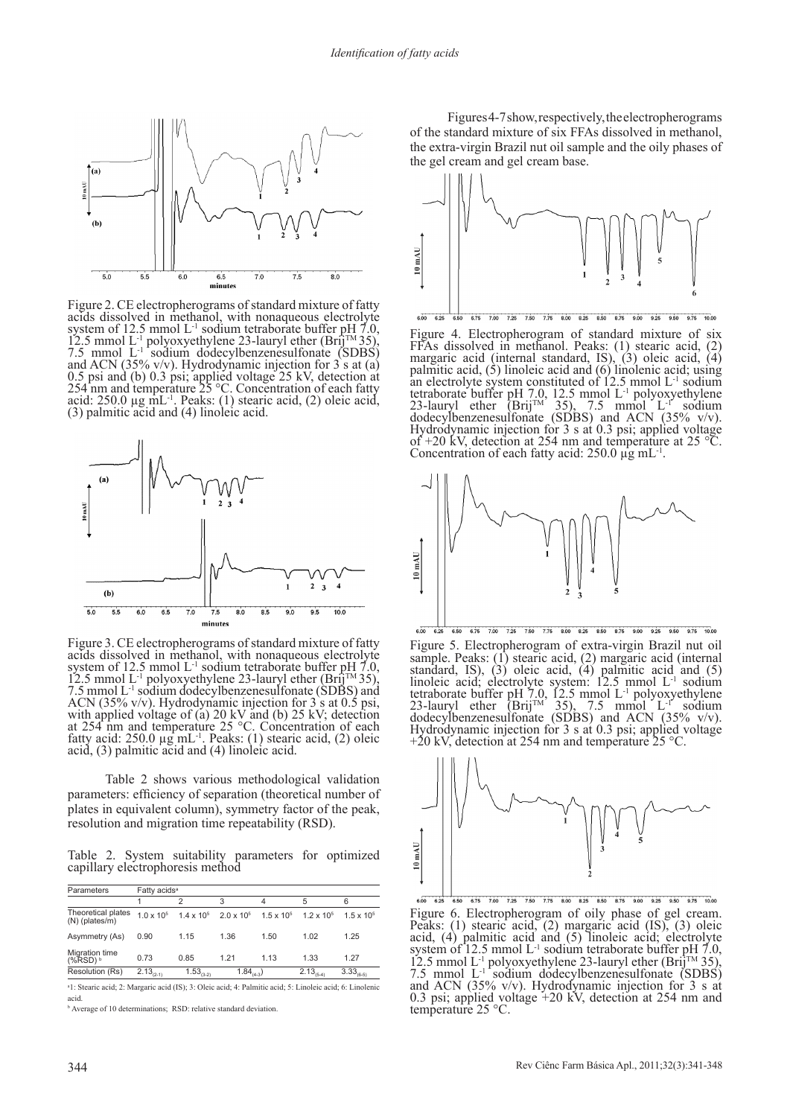

Figure 2. CE electropherograms of standard mixture of fatty acids dissolved in methanol, with nonaqueous electrolyte system of 12.5 mmol L<sup>-1</sup> sodium tetraborate buffer pH 7.0, 12.5 mmol L<sup>-1</sup> polyoxyethylene 23-lauryl ether (Brij<sup>TM</sup> 35), 7.5 mmol L<sup>-1</sup> sodium dodecylbenzenesulfonate (SDBS) 0.5 psi and (b) 0.3 psi; applied voltage 25 kV, detection at 254 nm and temperature 25 °C. Concentration of each fatty acid:  $250.0 \mu g \text{ mL}^{-1}$ . Peaks: (1) stearic acid, (2) oleic acid, (3) palmitic acid and (4) linoleic acid.



Figure 3. CE electropherograms of standard mixture of fatty acids dissolved in methanol, with nonaqueous electrolyte system of 12.5 mmol L<sup>-1</sup> sodium tetraborate buffer pH 7.0,<br>12.5 mmol L<sup>-1</sup> polyoxyethylene 23-lauryl ether (Brij<sup>TM</sup> 35),<br>7.5 mmol L<sup>-1</sup> sodium dodecylbenzenesulfonate (SDBS) and<br>ACN (35% v/v). Hydrodynamic injection for with applied voltage of (a) 20 kV and (b) 25 kV; detection at 254 nm and temperature 25 °C. Concentration of each fatty acid:  $250.0 \mu\text{g} \text{m} \text{L}^{-1}$ . Peaks: (1) stearic acid, (2) oleic acid, (3) palmitic acid and (4) linoleic acid.

Table 2 shows various methodological validation parameters: efficiency of separation (theoretical number of plates in equivalent column), symmetry factor of the peak, resolution and migration time repeatability (RSD).

Table 2. System suitability parameters for optimized capillary electrophoresis method

| Parameters                             | Fatty acids <sup>a</sup> |                     |                     |                     |                     |                     |  |  |
|----------------------------------------|--------------------------|---------------------|---------------------|---------------------|---------------------|---------------------|--|--|
|                                        |                          | 2                   | 3                   | 4                   | 5                   | 6                   |  |  |
| Theoretical plates<br>$(N)$ (plates/m) | $1.0 \times 10^{5}$      | $1.4 \times 10^{5}$ | $2.0 \times 10^{5}$ | $1.5 \times 10^{5}$ | $1.2 \times 10^{5}$ | $1.5 \times 10^{5}$ |  |  |
| Asymmetry (As)                         | 0.90                     | 1.15                | 1.36                | 1.50                | 1.02                | 1.25                |  |  |
| Migration time<br>$(%RSD)^{b}$         | 0.73                     | 0.85                | 1.21                | 1.13                | 1.33                | 1.27                |  |  |
| Resolution (Rs)                        | $2.13_{(2-1)}$           | $1.53_{(3-2)}$      | $1.84_{(4.3)}$      |                     | $2.13_{(5-4)}$      | $3.33_{(6-5)}$      |  |  |

a 1: Stearic acid; 2: Margaric acid (IS); 3: Oleic acid; 4: Palmitic acid; 5: Linoleic acid; 6: Linolenic acid.

**b** Average of 10 determinations; RSD: relative standard deviation.

Figures 4-7 show, respectively, the electropherograms of the standard mixture of six FFAs dissolved in methanol, the extra-virgin Brazil nut oil sample and the oily phases of the gel cream and gel cream base.



 $600$ 6.75 7.00 7.25 7.50 7.75 8.00 8.25 8.50 8.75 9.00 9.25 9.50 9.75 10.00  $6.25$ 

Figure 4. Electropherogram of standard mixture of six FFAs dissolved in methanol. Peaks: (1) stearic acid, (2) margaric acid (internal standard, IS), (3) oleic acid, (4) palmitic acid, (5) linoleic acid and (6) linolenic acid; using an electrolyte system constituted of  $12.5 \text{ mmol L}$ <sup>1</sup> sodium tetraborate buffer pH 7.0, 12.5 mmol  $L^{-1}$  polyoxyethylene 23-lauryl ether (Brij<sup>TM</sup> 35), 7.5 mmol  $L^{-1}$  sodium dodecylbenzenesulfonate (SDBS) and ACN (35% v/v). Hydrodynamic injection for 3 s at 0.3 psi; applied voltage of +20 kV, detection at 254 nm and temperature at 25 °C. Concentration of each fatty acid:  $250.0 \mu$ g mL<sup>-1</sup>.



Figure 5. Electropherogram of extra-virgin Brazil nut oil sample. Peaks: (1) stearic acid, (2) margaric acid (internal standard, IS), (3) oleic acid, (4) palmitic acid and (5) linoleic acid; electrolyte system: 12.5 mmol L-1 sodium tetraborate buffer pH 7.0, 12.5 mmol L<sup>-1</sup> polyoxyethylene 23-lauryl ether (Brij<sup>TM</sup> 35), 7.5 mmol L<sup>-1</sup> sodium dodecylbenzenesulfonate (SDBS) and ACN (35% v/v). Hydrodynamic injection for 3 s at 0.3 psi; applied voltage  $+20$  kV, detection at 254 nm and temperature 25 °C.



7.00 7.25 7.50 7.75 8.00 8.25 8.50 8.75 9.00 9.25 9.50 9.75 10.00 Figure 6. Electropherogram of oily phase of gel cream. Peaks: (1) stearic acid, (2) margaric acid (IS), (3) oleic acid, (4) palmitic acid and (5) linoleic acid; electrolyte system of 12.5 mmol L<sup>-1</sup> sodium tetraborate buffer pH 7.0, 12.5 mmol L<sup>-1</sup> polyoxyethylene 23-lauryl ether (Brij<sup>TM</sup> 35), 7.5 mmol L<sup>-1</sup> sodium dodecylbenzenesulfonate (SDBS) and ACN (35% v/v). Hydrodynamic injection for 0.3 psi; applied voltage +20 kV, detection at 254 nm and temperature 25 °C.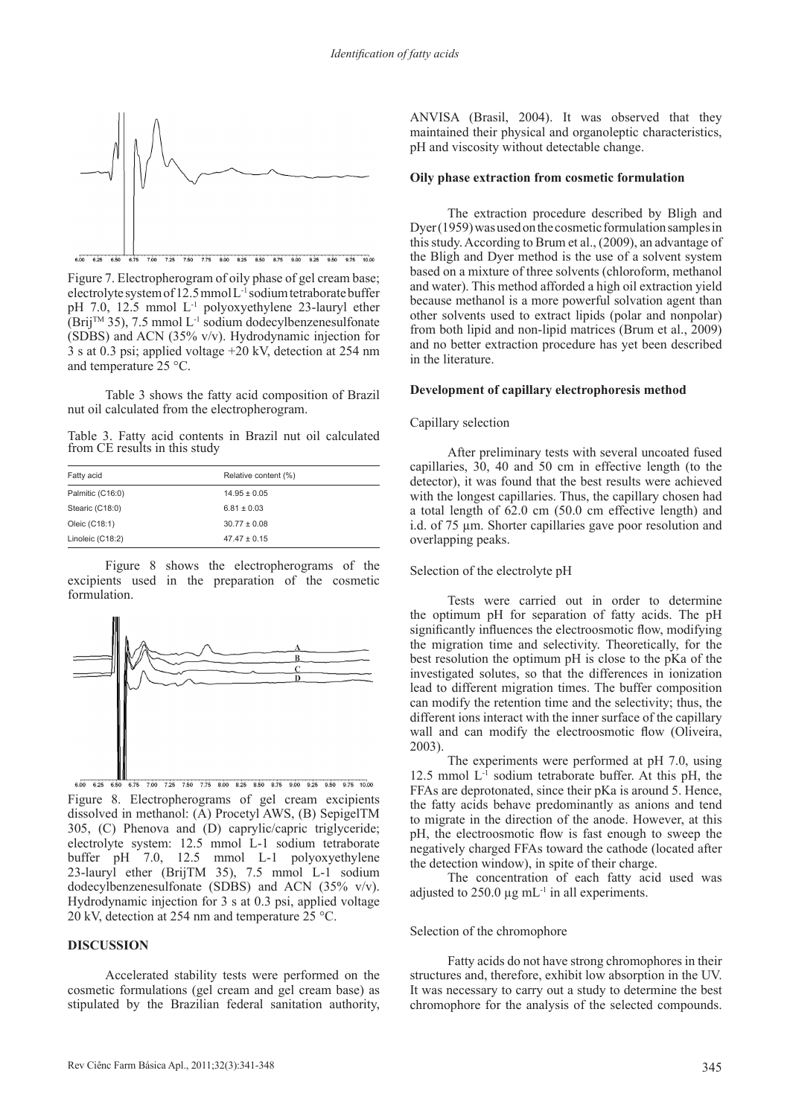

Figure 7. Electropherogram of oily phase of gel cream base; electrolyte system of 12.5 mmol L-1 sodium tetraborate buffer pH 7.0, 12.5 mmol L-1 polyoxyethylene 23-lauryl ether  $(Brij<sup>TM</sup> 35)$ , 7.5 mmol L<sup>-1</sup> sodium dodecylbenzenesulfonate (SDBS) and ACN (35% v/v). Hydrodynamic injection for 3 s at 0.3 psi; applied voltage +20 kV, detection at 254 nm and temperature 25 °C.

Table 3 shows the fatty acid composition of Brazil nut oil calculated from the electropherogram.

Table 3. Fatty acid contents in Brazil nut oil calculated from CE results in this study

| Fatty acid       | Relative content (%) |
|------------------|----------------------|
| Palmitic (C16:0) | $14.95 \pm 0.05$     |
| Stearic (C18:0)  | $6.81 \pm 0.03$      |
| Oleic (C18:1)    | $30.77 \pm 0.08$     |
| Linoleic (C18:2) | $47.47 \pm 0.15$     |

Figure 8 shows the electropherograms of the excipients used in the preparation of the cosmetic formulation.



Figure 8. Electropherograms of gel cream excipients dissolved in methanol: (A) Procetyl AWS, (B) SepigelTM 305, (C) Phenova and (D) caprylic/capric triglyceride; electrolyte system: 12.5 mmol L-1 sodium tetraborate buffer pH 7.0, 12.5 mmol L-1 polyoxyethylene 23-lauryl ether (BrijTM 35), 7.5 mmol L-1 sodium dodecylbenzenesulfonate (SDBS) and ACN (35% v/v). Hydrodynamic injection for 3 s at 0.3 psi, applied voltage 20 kV, detection at 254 nm and temperature 25 °C.

#### **DISCUSSION**

Accelerated stability tests were performed on the cosmetic formulations (gel cream and gel cream base) as stipulated by the Brazilian federal sanitation authority,

ANVISA (Brasil, 2004). It was observed that they maintained their physical and organoleptic characteristics, pH and viscosity without detectable change.

#### **Oily phase extraction from cosmetic formulation**

The extraction procedure described by Bligh and Dyer (1959) was used on the cosmetic formulation samples in this study. According to Brum et al., (2009), an advantage of the Bligh and Dyer method is the use of a solvent system based on a mixture of three solvents (chloroform, methanol and water). This method afforded a high oil extraction yield because methanol is a more powerful solvation agent than other solvents used to extract lipids (polar and nonpolar) from both lipid and non-lipid matrices (Brum et al., 2009) and no better extraction procedure has yet been described in the literature.

#### **Development of capillary electrophoresis method**

#### Capillary selection

After preliminary tests with several uncoated fused capillaries, 30, 40 and 50 cm in effective length (to the detector), it was found that the best results were achieved with the longest capillaries. Thus, the capillary chosen had a total length of 62.0 cm (50.0 cm effective length) and i.d. of 75 µm. Shorter capillaries gave poor resolution and overlapping peaks.

#### Selection of the electrolyte pH

Tests were carried out in order to determine the optimum pH for separation of fatty acids. The pH significantly influences the electroosmotic flow, modifying the migration time and selectivity. Theoretically, for the best resolution the optimum pH is close to the pKa of the investigated solutes, so that the differences in ionization lead to different migration times. The buffer composition can modify the retention time and the selectivity; thus, the different ions interact with the inner surface of the capillary wall and can modify the electroosmotic flow (Oliveira, 2003).

The experiments were performed at pH 7.0, using 12.5 mmol L-1 sodium tetraborate buffer. At this pH, the FFAs are deprotonated, since their pKa is around 5. Hence, the fatty acids behave predominantly as anions and tend to migrate in the direction of the anode. However, at this pH, the electroosmotic flow is fast enough to sweep the negatively charged FFAs toward the cathode (located after the detection window), in spite of their charge.

The concentration of each fatty acid used was adjusted to  $250.0 \mu g$  mL<sup>-1</sup> in all experiments.

#### Selection of the chromophore

Fatty acids do not have strong chromophores in their structures and, therefore, exhibit low absorption in the UV. It was necessary to carry out a study to determine the best chromophore for the analysis of the selected compounds.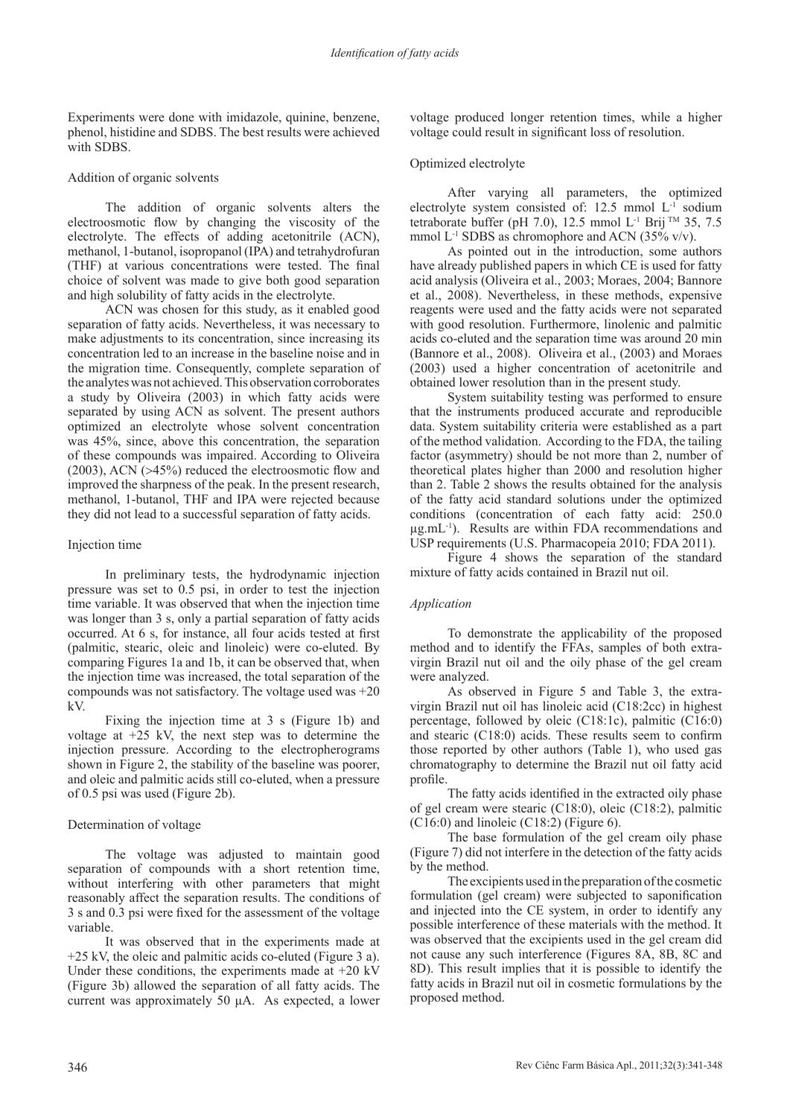Experiments were done with imidazole, quinine, benzene, phenol, histidine and SDBS. The best results were achieved with SDBS.

## Addition of organic solvents

The addition of organic solvents alters the electroosmotic flow by changing the viscosity of the electrolyte. The effects of adding acetonitrile (ACN), methanol, 1-butanol, isopropanol (IPA) and tetrahydrofuran (THF) at various concentrations were tested. The final choice of solvent was made to give both good separation and high solubility of fatty acids in the electrolyte.

ACN was chosen for this study, as it enabled good separation of fatty acids. Nevertheless, it was necessary to make adjustments to its concentration, since increasing its concentration led to an increase in the baseline noise and in the migration time. Consequently, complete separation of the analytes was not achieved. This observation corroborates a study by Oliveira (2003) in which fatty acids were separated by using ACN as solvent. The present authors optimized an electrolyte whose solvent concentration was 45%, since, above this concentration, the separation of these compounds was impaired. According to Oliveira (2003), ACN (>45%) reduced the electroosmotic flow and improved the sharpness of the peak. In the present research, methanol, 1-butanol, THF and IPA were rejected because they did not lead to a successful separation of fatty acids.

## Injection time

In preliminary tests, the hydrodynamic injection pressure was set to 0.5 psi, in order to test the injection time variable. It was observed that when the injection time was longer than 3 s, only a partial separation of fatty acids occurred. At 6 s, for instance, all four acids tested at first (palmitic, stearic, oleic and linoleic) were co-eluted. By comparing Figures 1a and 1b, it can be observed that, when the injection time was increased, the total separation of the compounds was not satisfactory. The voltage used was +20 kV.

Fixing the injection time at 3 s (Figure 1b) and voltage at  $+25$  kV, the next step was to determine the injection pressure. According to the electropherograms shown in Figure 2, the stability of the baseline was poorer, and oleic and palmitic acids still co-eluted, when a pressure of 0.5 psi was used (Figure 2b).

# Determination of voltage

The voltage was adjusted to maintain good separation of compounds with a short retention time, without interfering with other parameters that might reasonably affect the separation results. The conditions of 3 s and 0.3 psi were fixed for the assessment of the voltage variable.

It was observed that in the experiments made at +25 kV, the oleic and palmitic acids co-eluted (Figure 3 a). Under these conditions, the experiments made at  $+20 \text{ kV}$ (Figure 3b) allowed the separation of all fatty acids. The current was approximately 50 μA. As expected, a lower

voltage produced longer retention times, while a higher voltage could result in significant loss of resolution.

# Optimized electrolyte

After varying all parameters, the optimized electrolyte system consisted of:  $12.5$  mmol  $L<sup>-1</sup>$  sodium tetraborate buffer (pH 7.0), 12.5 mmol L<sup>-1</sup> Brij <sup>TM</sup> 35, 7.5 mmol  $L^{-1}$  SDBS as chromophore and ACN (35% v/v).

As pointed out in the introduction, some authors have already published papers in which CE is used for fatty acid analysis (Oliveira et al., 2003; Moraes, 2004; Bannore et al., 2008). Nevertheless, in these methods, expensive reagents were used and the fatty acids were not separated with good resolution. Furthermore, linolenic and palmitic acids co-eluted and the separation time was around 20 min (Bannore et al., 2008). Oliveira et al., (2003) and Moraes (2003) used a higher concentration of acetonitrile and obtained lower resolution than in the present study.

System suitability testing was performed to ensure that the instruments produced accurate and reproducible data. System suitability criteria were established as a part of the method validation. According to the FDA, the tailing factor (asymmetry) should be not more than 2, number of theoretical plates higher than 2000 and resolution higher than 2. Table 2 shows the results obtained for the analysis of the fatty acid standard solutions under the optimized conditions (concentration of each fatty acid: 250.0  $\mu$ g.mL<sup>-1</sup>). Results are within FDA recommendations and USP requirements (U.S. Pharmacopeia 2010; FDA 2011).

Figure 4 shows the separation of the standard mixture of fatty acids contained in Brazil nut oil.

# *Application*

To demonstrate the applicability of the proposed method and to identify the FFAs, samples of both extravirgin Brazil nut oil and the oily phase of the gel cream were analyzed.

As observed in Figure 5 and Table 3, the extravirgin Brazil nut oil has linoleic acid (C18:2cc) in highest percentage, followed by oleic (C18:1c), palmitic (C16:0) and stearic (C18:0) acids. These results seem to confirm those reported by other authors (Table 1), who used gas chromatography to determine the Brazil nut oil fatty acid profile.

The fatty acids identified in the extracted oily phase of gel cream were stearic (C18:0), oleic (C18:2), palmitic  $(C16:0)$  and linoleic  $(C18:2)$  (Figure 6).

The base formulation of the gel cream oily phase (Figure 7) did not interfere in the detection of the fatty acids by the method.

The excipients used in the preparation of the cosmetic formulation (gel cream) were subjected to saponification and injected into the CE system, in order to identify any possible interference of these materials with the method. It was observed that the excipients used in the gel cream did not cause any such interference (Figures 8A, 8B, 8C and 8D). This result implies that it is possible to identify the fatty acids in Brazil nut oil in cosmetic formulations by the proposed method.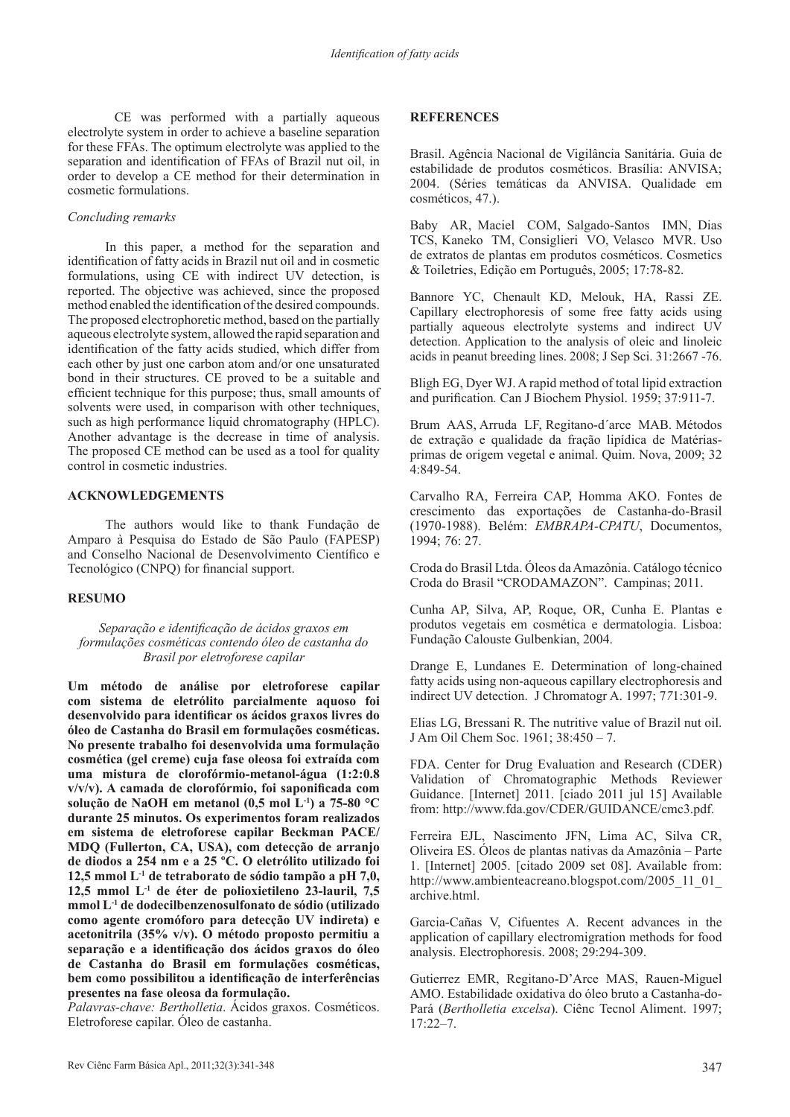CE was performed with a partially aqueous electrolyte system in order to achieve a baseline separation for these FFAs. The optimum electrolyte was applied to the separation and identification of FFAs of Brazil nut oil, in order to develop a CE method for their determination in cosmetic formulations.

## *Concluding remarks*

In this paper, a method for the separation and identification of fatty acids in Brazil nut oil and in cosmetic formulations, using CE with indirect UV detection, is reported. The objective was achieved, since the proposed method enabled the identification of the desired compounds. The proposed electrophoretic method, based on the partially aqueous electrolyte system, allowed the rapid separation and identification of the fatty acids studied, which differ from each other by just one carbon atom and/or one unsaturated bond in their structures. CE proved to be a suitable and efficient technique for this purpose; thus, small amounts of solvents were used, in comparison with other techniques, such as high performance liquid chromatography (HPLC). Another advantage is the decrease in time of analysis. The proposed CE method can be used as a tool for quality control in cosmetic industries.

## **ACKNOWLEDGEMENTS**

The authors would like to thank Fundação de Amparo à Pesquisa do Estado de São Paulo (FAPESP) and Conselho Nacional de Desenvolvimento Científico e Tecnológico (CNPQ) for financial support.

# **RESUMO**

*Separação e identificação de ácidos graxos em formulações cosméticas contendo óleo de castanha do Brasil por eletroforese capilar*

**Um método de análise por eletroforese capilar com sistema de eletrólito parcialmente aquoso foi desenvolvido para identificar os ácidos graxos livres do óleo de Castanha do Brasil em formulações cosméticas. No presente trabalho foi desenvolvida uma formulação cosmética (gel creme) cuja fase oleosa foi extraída com uma mistura de clorofórmio-metanol-água (1:2:0.8 v/v/v). A camada de clorofórmio, foi saponificada com solução de NaOH em metanol (0,5 mol L-1) a 75-80 °C durante 25 minutos. Os experimentos foram realizados em sistema de eletroforese capilar Beckman PACE/ MDQ (Fullerton, CA, USA), com detecção de arranjo de diodos a 254 nm e a 25 ºC. O eletrólito utilizado foi 12,5 mmol L-1 de tetraborato de sódio tampão a pH 7,0, 12,5 mmol L-1 de éter de polioxietileno 23-lauril, 7,5 mmol L-1 de dodecilbenzenosulfonato de sódio (utilizado como agente cromóforo para detecção UV indireta) e acetonitrila (35% v/v). O método proposto permitiu a separação e a identificação dos ácidos graxos do óleo de Castanha do Brasil em formulações cosméticas, bem como possibilitou a identificação de interferências presentes na fase oleosa da formulação.**

*Palavras-chave: Bertholletia*. Ácidos graxos. Cosméticos. Eletroforese capilar. Óleo de castanha.

# **REFERENCES**

Brasil. Agência Nacional de Vigilância Sanitária. Guia de estabilidade de produtos cosméticos. Brasília: ANVISA; 2004. (Séries temáticas da ANVISA. Qualidade em cosméticos, 47.).

Baby AR, Maciel COM, Salgado-Santos IMN, Dias TCS, Kaneko TM, Consiglieri VO, Velasco MVR. Uso de extratos de plantas em produtos cosméticos. Cosmetics & Toiletries, Edição em Português, 2005; 17:78-82.

Bannore YC, Chenault KD, Melouk, HA, Rassi ZE. Capillary electrophoresis of some free fatty acids using partially aqueous electrolyte systems and indirect UV detection. Application to the analysis of oleic and linoleic acids in peanut breeding lines. 2008; J Sep Sci. 31:2667 -76.

Bligh EG, Dyer WJ. A rapid method of total lipid extraction and purification*.* Can J Biochem Physiol. 1959; 37:911-7.

Brum AAS, Arruda LF, Regitano-d´arce MAB. Métodos de extração e qualidade da fração lipídica de Matériasprimas de origem vegetal e animal. Quim. Nova, 2009; 32 4:849-54.

Carvalho RA, Ferreira CAP, Homma AKO. Fontes de crescimento das exportações de Castanha-do-Brasil (1970-1988). Belém: *EMBRAPA-CPATU*, Documentos, 1994; *7*6: 27.

Croda do Brasil Ltda. Óleos da Amazônia. Catálogo técnico Croda do Brasil "CRODAMAZON". Campinas; 2011.

Cunha AP, Silva, AP, Roque, OR, Cunha E. Plantas e produtos vegetais em cosmética e dermatologia. Lisboa: Fundação Calouste Gulbenkian, 2004.

Drange E, Lundanes E. Determination of long-chained fatty acids using non-aqueous capillary electrophoresis and indirect UV detection. J Chromatogr A. 1997; 7*7*1:301-9.

Elias LG, Bressani R. The nutritive value of Brazil nut oil. J Am Oil Chem Soc. 1961; 38:450 – 7.

FDA. Center for Drug Evaluation and Research (CDER) Validation of Chromatographic Methods Reviewer Guidance. [Internet] 2011. [ciado 2011 jul 15] Available from: http://www.fda.gov/CDER/GUIDANCE/cmc3.pdf.

Ferreira EJL, Nascimento JFN, Lima AC, Silva CR, Oliveira ES. Óleos de plantas nativas da Amazônia – Parte 1. [Internet] 2005. [citado 2009 set 08]. Available from: http://www.ambienteacreano.blogspot.com/2005\_11\_01 archive.html.

Garcia-Cañas V, Cifuentes A. Recent advances in the application of capillary electromigration methods for food analysis. Electrophoresis. 2008; 29:294-309.

Gutierrez EMR, Regitano-D'Arce MAS, Rauen-Miguel AMO. Estabilidade oxidativa do óleo bruto a Castanha-do-Pará (*Bertholletia excelsa*). Ciênc Tecnol Aliment. 1997; 17:22–7.